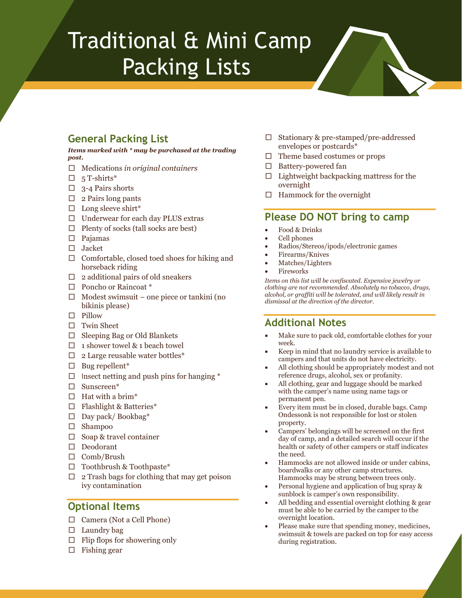# Traditional & Mini Camp Packing Lists

## **General Packing List**

*Items marked with \* may be purchased at the trading post.* 

- □ Medications *in original containers*
- $\Box$  5 T-shirts\*
- $\Box$  3-4 Pairs shorts
- $\Box$  2 Pairs long pants
- $\square$  Long sleeve shirt\*
- □ Underwear for each day PLUS extras
- □ Plenty of socks (tall socks are best)
- □ Pajamas
- □ Jacket
- $\Box$  Comfortable, closed toed shoes for hiking and horseback riding
- $\Box$  2 additional pairs of old sneakers
- □ Poncho or Raincoat \*
- $\Box$  Modest swimsuit one piece or tankini (no bikinis please)
- □ Pillow
- □ Twin Sheet
- □ Sleeping Bag or Old Blankets
- $\Box$  1 shower towel & 1 beach towel
- $\Box$  2 Large reusable water bottles\*
- $\square$  Bug repellent\*
- $\square$  Insect netting and push pins for hanging  $*$
- □ Sunscreen\*
- $\Box$  Hat with a brim\*
- $\Box$  Flashlight & Batteries\*
- $\Box$  Day pack/Bookbag\*
- □ Shampoo
- $\Box$  Soap & travel container
- □ Deodorant
- □ Comb/Brush
- □ Toothbrush & Toothpaste\*
- $\Box$  2 Trash bags for clothing that may get poison ivy contamination

## **Optional Items**

- □ Camera (Not a Cell Phone)
- $\Box$  Laundry bag
- $\Box$  Flip flops for showering only
- $\Box$  Fishing gear
- □ Stationary & pre-stamped/pre-addressed envelopes or postcards\*
- □ Theme based costumes or props
- □ Battery-powered fan
- $\Box$  Lightweight backpacking mattress for the overnight
- $\Box$  Hammock for the overnight

## **Please DO NOT bring to camp**

- Food & Drinks
- Cell phones
- Radios/Stereos/ipods/electronic games
- Firearms/Knives
- Matches/Lighters
- **Fireworks**

*Items on this list will be confiscated. Expensive jewelry or clothing are not recommended. Absolutely no tobacco, drugs, alcohol, or graffiti will be tolerated, and will likely result in dismissal at the direction of the director.* 

- Make sure to pack old, comfortable clothes for your week.
- Keep in mind that no laundry service is available to campers and that units do not have electricity.
- All clothing should be appropriately modest and not reference drugs, alcohol, sex or profanity.
- All clothing, gear and luggage should be marked with the camper's name using name tags or permanent pen.
- Every item must be in closed, durable bags. Camp Ondessonk is not responsible for lost or stolen property.
- Campers' belongings will be screened on the first day of camp, and a detailed search will occur if the health or safety of other campers or staff indicates the need.
- Hammocks are not allowed inside or under cabins, boardwalks or any other camp structures. Hammocks may be strung between trees only.
- Personal hygiene and application of bug spray & sunblock is camper's own responsibility.
- All bedding and essential overnight clothing & gear must be able to be carried by the camper to the overnight location.
- Please make sure that spending money, medicines, swimsuit & towels are packed on top for easy access during registration.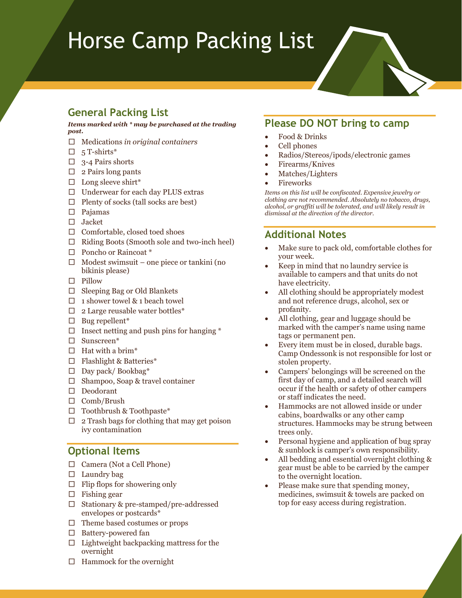# Horse Camp Packing List

## **General Packing List**

*Items marked with \* may be purchased at the trading post.* 

- □ Medications *in original containers*
- $\Box$  5 T-shirts\*
- $\Box$  3-4 Pairs shorts
- $\Box$  2 Pairs long pants
- $\square$  Long sleeve shirt\*
- □ Underwear for each day PLUS extras
- $\Box$  Plenty of socks (tall socks are best)
- □ Pajamas
- □ Jacket
- □ Comfortable, closed toed shoes
- □ Riding Boots (Smooth sole and two-inch heel)
- □ Poncho or Raincoat \*
- $\Box$  Modest swimsuit one piece or tankini (no bikinis please)
- □ Pillow
- □ Sleeping Bag or Old Blankets
- $\Box$  1 shower towel & 1 beach towel
- $\Box$  2 Large reusable water bottles\*
- $\Box$  Bug repellent<sup>\*</sup>
- $\square$  Insect netting and push pins for hanging  $*$
- □ Sunscreen\*
- $\Box$  Hat with a brim\*
- $\Box$  Flashlight & Batteries\*
- $\Box$  Day pack/Bookbag\*
- □ Shampoo, Soap & travel container
- □ Deodorant
- □ Comb/Brush
- □ Toothbrush & Toothpaste\*
- $\Box$  2 Trash bags for clothing that may get poison ivy contamination

## **Optional Items**

- □ Camera (Not a Cell Phone)
- $\Box$  Laundry bag
- $\Box$  Flip flops for showering only
- $\square$  Fishing gear
- □ Stationary & pre-stamped/pre-addressed envelopes or postcards\*
- □ Theme based costumes or props
- □ Battery-powered fan
- □ Lightweight backpacking mattress for the overnight
- $\Box$  Hammock for the overnight

## **Please DO NOT bring to camp**

- Food & Drinks
- Cell phones
- Radios/Stereos/ipods/electronic games
- Firearms/Knives
- Matches/Lighters
- **Fireworks**

*Items on this list will be confiscated. Expensive jewelry or clothing are not recommended. Absolutely no tobacco, drugs, alcohol, or graffiti will be tolerated, and will likely result in dismissal at the direction of the director.* 

- Make sure to pack old, comfortable clothes for your week.
- Keep in mind that no laundry service is available to campers and that units do not have electricity.
- All clothing should be appropriately modest and not reference drugs, alcohol, sex or profanity.
- All clothing, gear and luggage should be marked with the camper's name using name tags or permanent pen.
- Every item must be in closed, durable bags. Camp Ondessonk is not responsible for lost or stolen property.
- Campers' belongings will be screened on the first day of camp, and a detailed search will occur if the health or safety of other campers or staff indicates the need.
- Hammocks are not allowed inside or under cabins, boardwalks or any other camp structures. Hammocks may be strung between trees only.
- Personal hygiene and application of bug spray & sunblock is camper's own responsibility.
- All bedding and essential overnight clothing & gear must be able to be carried by the camper to the overnight location.
- Please make sure that spending money, medicines, swimsuit & towels are packed on top for easy access during registration.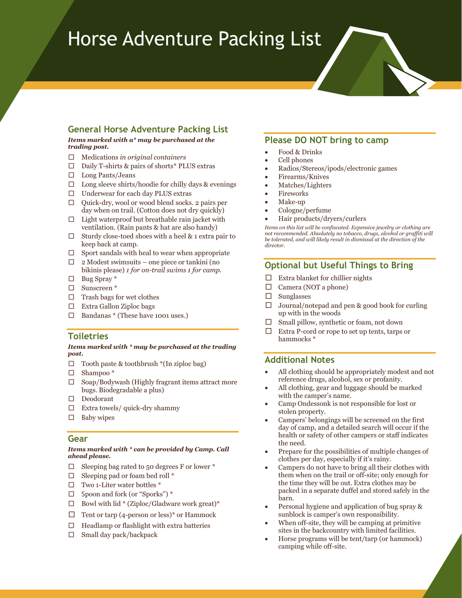## Horse Adventure Packing List

#### **General Horse Adventure Packing List**

#### *Items marked with a\* may be purchased at the trading post.*

- □ Medications *in original containers*
- □ Daily T-shirts & pairs of shorts\* PLUS extras
- □ Long Pants/Jeans
- $\square$  Long sleeve shirts/hoodie for chilly days & evenings
- □ Underwear for each day PLUS extras
- □ Quick-dry, wool or wood blend socks. 2 pairs per day when on trail. (Cotton does not dry quickly)
- $\Box$  Light waterproof but breathable rain jacket with ventilation. (Rain pants & hat are also handy)
- $\Box$  Sturdy close-toed shoes with a heel & 1 extra pair to keep back at camp.
- $\Box$  Sport sandals with heal to wear when appropriate
- $\Box$  2 Modest swimsuits one piece or tankini (no bikinis please) *1 for on-trail swims 1 for camp.*
- □ Bug Spray \*
- □ Sunscreen \*
- $\square$  Trash bags for wet clothes
- □ Extra Gallon Ziploc bags
- □ Bandanas \* (These have 1001 uses.)

#### **Toiletries**

#### *Items marked with \* may be purchased at the trading post.*

- $\Box$  Tooth paste & toothbrush \*(In ziploc bag)
- □ Shampoo \*
- □ Soap/Bodywash (Highly fragrant items attract more bugs. Biodegradable a plus)
- □ Deodorant
- $\Box$  Extra towels/ quick-dry shammy
- □ Baby wipes

#### **Gear**

#### *Items marked with \* can be provided by Camp. Call ahead please.*

- $\Box$  Sleeping bag rated to 50 degrees F or lower  $*$
- $\Box$  Sleeping pad or foam bed roll  $*$
- $\square$  Two 1-Liter water bottles  $*$
- $\Box$  Spoon and fork (or "Sporks") \*
- $\Box$  Bowl with lid \* (Ziploc/Gladware work great)\*
- $\Box$  Tent or tarp (4-person or less)\* or Hammock
- $\Box$  Headlamp or flashlight with extra batteries
- $\Box$  Small day pack/backpack

#### **Please DO NOT bring to camp**

- Food & Drinks
- Cell phones
- Radios/Stereos/ipods/electronic games
- Firearms/Knives
- Matches/Lighters
- Fireworks
- Make-up
- Cologne/perfume
- Hair products/dryers/curlers

*Items on this list will be confiscated. Expensive jewelry or clothing are not recommended. Absolutely no tobacco, drugs, alcohol or graffiti will be tolerated, and will likely result in dismissal at the direction of the director.*

#### **Optional but Useful Things to Bring**

- $\Box$  Extra blanket for chillier nights
- □ Camera (NOT a phone)
- $\square$  Sunglasses
- $\Box$  Journal/notepad and pen & good book for curling up with in the woods
- $\Box$  Small pillow, synthetic or foam, not down
- $\Box$  Extra P-cord or rope to set up tents, tarps or hammocks \*

- All clothing should be appropriately modest and not reference drugs, alcohol, sex or profanity.
- All clothing, gear and luggage should be marked with the camper's name.
- Camp Ondessonk is not responsible for lost or stolen property.
- Campers' belongings will be screened on the first day of camp, and a detailed search will occur if the health or safety of other campers or staff indicates the need.
- Prepare for the possibilities of multiple changes of clothes per day, especially if it's rainy.
- Campers do not have to bring all their clothes with them when on the trail or off-site; only enough for the time they will be out. Extra clothes may be packed in a separate duffel and stored safely in the barn.
- Personal hygiene and application of bug spray & sunblock is camper's own responsibility.
- When off-site, they will be camping at primitive sites in the backcountry with limited facilities.
- Horse programs will be tent/tarp (or hammock) camping while off-site.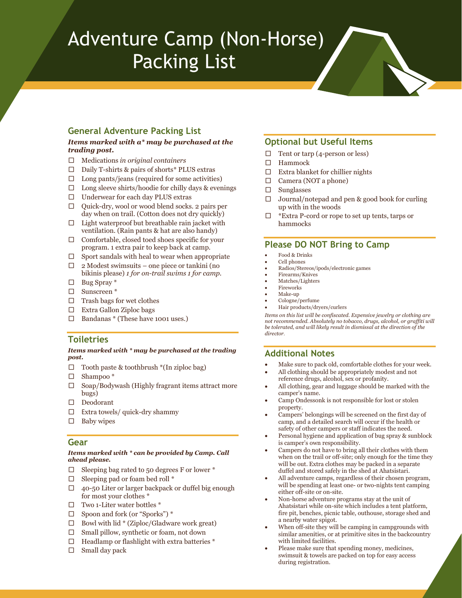## Adventure Camp (Non-Horse) Packing List

#### **General Adventure Packing List**

#### *Items marked with a\* may be purchased at the trading post.*

- □ Medications *in original containers*
- □ Daily T-shirts & pairs of shorts\* PLUS extras
- $\Box$  Long pants/jeans (required for some activities)
- $\Box$  Long sleeve shirts/hoodie for chilly days & evenings
- □ Underwear for each day PLUS extras
- □ Quick-dry, wool or wood blend socks. 2 pairs per day when on trail. (Cotton does not dry quickly)
- $\Box$  Light waterproof but breathable rain jacket with ventilation. (Rain pants & hat are also handy)
- $\Box$  Comfortable, closed toed shoes specific for your program. 1 extra pair to keep back at camp.
- $\Box$  Sport sandals with heal to wear when appropriate
- $\Box$  2 Modest swimsuits one piece or tankini (no bikinis please) *1 for on-trail swims 1 for camp.*
- □ Bug Spray \*
- □ Sunscreen \*
- $\Box$  Trash bags for wet clothes
- □ Extra Gallon Ziploc bags
- □ Bandanas \* (These have 1001 uses.)

#### **Toiletries**

#### *Items marked with \* may be purchased at the trading post.*

- $\Box$  Tooth paste & toothbrush \*(In ziploc bag)
- □ Shampoo \*
- □ Soap/Bodywash (Highly fragrant items attract more bugs)
- □ Deodorant
- $\Box$  Extra towels/ quick-dry shammy
- □ Baby wipes

#### **Gear**

#### *Items marked with \* can be provided by Camp. Call ahead please.*

- $\Box$  Sleeping bag rated to 50 degrees F or lower  $*$
- $\Box$  Sleeping pad or foam bed roll  $*$
- $\Box$  40-50 Liter or larger backpack or duffel big enough for most your clothes \*
- □ Two 1-Liter water bottles \*
- $\Box$  Spoon and fork (or "Sporks") \*
- $\Box$  Bowl with lid \* (Ziploc/Gladware work great)
- □ Small pillow, synthetic or foam, not down
- $\Box$  Headlamp or flashlight with extra batteries  $*$
- $\Box$  Small day pack

#### **Optional but Useful Items**

- $\Box$  Tent or tarp (4-person or less)
- □ Hammock
- $\Box$  Extra blanket for chillier nights
- □ Camera (NOT a phone)
- □ Sunglasses
- $\Box$  Journal/notepad and pen & good book for curling up with in the woods
- □ \*Extra P-cord or rope to set up tents, tarps or hammocks

#### **Please DO NOT Bring to Camp**

- Food & Drinks
- Cell phones
- Radios/Stereos/ipods/electronic games
- Firearms/Knives
- Matches/Lighters **Fireworks**
- Make-up
- Cologne/perfume
- Hair products/dryers/curlers

*Items on this list will be confiscated. Expensive jewelry or clothing are not recommended. Absolutely no tobacco, drugs, alcohol, or graffiti will be tolerated, and will likely result in dismissal at the direction of the director.* 

- Make sure to pack old, comfortable clothes for your week.
- All clothing should be appropriately modest and not reference drugs, alcohol, sex or profanity.
- All clothing, gear and luggage should be marked with the camper's name.
- Camp Ondessonk is not responsible for lost or stolen property.
- Campers' belongings will be screened on the first day of camp, and a detailed search will occur if the health or safety of other campers or staff indicates the need.
- Personal hygiene and application of bug spray & sunblock is camper's own responsibility.
- Campers do not have to bring all their clothes with them when on the trail or off-site; only enough for the time they will be out. Extra clothes may be packed in a separate duffel and stored safely in the shed at Ahatsistari.
- All adventure camps, regardless of their chosen program, will be spending at least one- or two-nights tent camping either off-site or on-site.
- Non-horse adventure programs stay at the unit of Ahatsistari while on-site which includes a tent platform, fire pit, benches, picnic table, outhouse, storage shed and a nearby water spigot.
- When off-site they will be camping in campgrounds with similar amenities, or at primitive sites in the backcountry with limited facilities.
- Please make sure that spending money, medicines, swimsuit & towels are packed on top for easy access during registration.